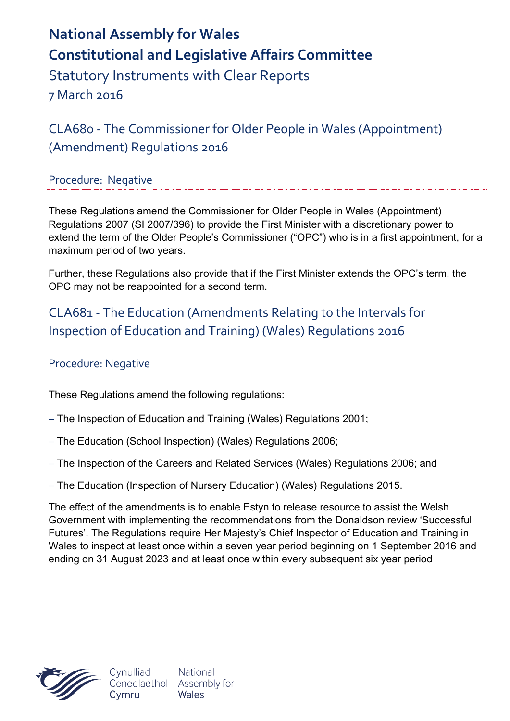# **National Assembly for Wales Constitutional and Legislative Affairs Committee** Statutory Instruments with Clear Reports

7 March 2016

CLA680 - The Commissioner for Older People in Wales (Appointment) (Amendment) Regulations 2016

### Procedure: Negative

These Regulations amend the Commissioner for Older People in Wales (Appointment) Regulations 2007 (SI 2007/396) to provide the First Minister with a discretionary power to extend the term of the Older People's Commissioner ("OPC") who is in a first appointment, for a maximum period of two years.

Further, these Regulations also provide that if the First Minister extends the OPC's term, the OPC may not be reappointed for a second term.

# CLA681 - The Education (Amendments Relating to the Intervals for Inspection of Education and Training) (Wales) Regulations 2016

### Procedure: Negative

These Regulations amend the following regulations:

- The Inspection of Education and Training (Wales) Regulations 2001;
- The Education (School Inspection) (Wales) Regulations 2006;
- The Inspection of the Careers and Related Services (Wales) Regulations 2006; and
- The Education (Inspection of Nursery Education) (Wales) Regulations 2015.

The effect of the amendments is to enable Estyn to release resource to assist the Welsh Government with implementing the recommendations from the Donaldson review 'Successful Futures'. The Regulations require Her Majesty's Chief Inspector of Education and Training in Wales to inspect at least once within a seven year period beginning on 1 September 2016 and ending on 31 August 2023 and at least once within every subsequent six year period



National Wales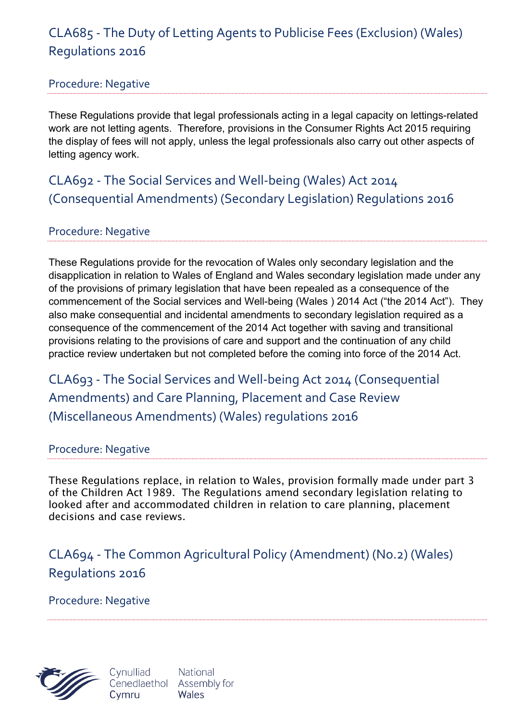# CLA685 - The Duty of Letting Agents to Publicise Fees (Exclusion) (Wales) Regulations 2016

### Procedure: Negative

These Regulations provide that legal professionals acting in a legal capacity on lettings-related work are not letting agents. Therefore, provisions in the Consumer Rights Act 2015 requiring the display of fees will not apply, unless the legal professionals also carry out other aspects of letting agency work.

CLA692 - The Social Services and Well-being (Wales) Act 2014 (Consequential Amendments) (Secondary Legislation) Regulations 2016

### Procedure: Negative

These Regulations provide for the revocation of Wales only secondary legislation and the disapplication in relation to Wales of England and Wales secondary legislation made under any of the provisions of primary legislation that have been repealed as a consequence of the commencement of the Social services and Well-being (Wales ) 2014 Act ("the 2014 Act"). They also make consequential and incidental amendments to secondary legislation required as a consequence of the commencement of the 2014 Act together with saving and transitional provisions relating to the provisions of care and support and the continuation of any child practice review undertaken but not completed before the coming into force of the 2014 Act.

CLA693 - The Social Services and Well-being Act 2014 (Consequential Amendments) and Care Planning, Placement and Case Review (Miscellaneous Amendments) (Wales) regulations 2016

#### Procedure: Negative

These Regulations replace, in relation to Wales, provision formally made under part 3 of the Children Act 1989. The Regulations amend secondary legislation relating to looked after and accommodated children in relation to care planning, placement decisions and case reviews.

CLA694 - The Common Agricultural Policy (Amendment) (No.2) (Wales) Regulations 2016

Procedure: Negative

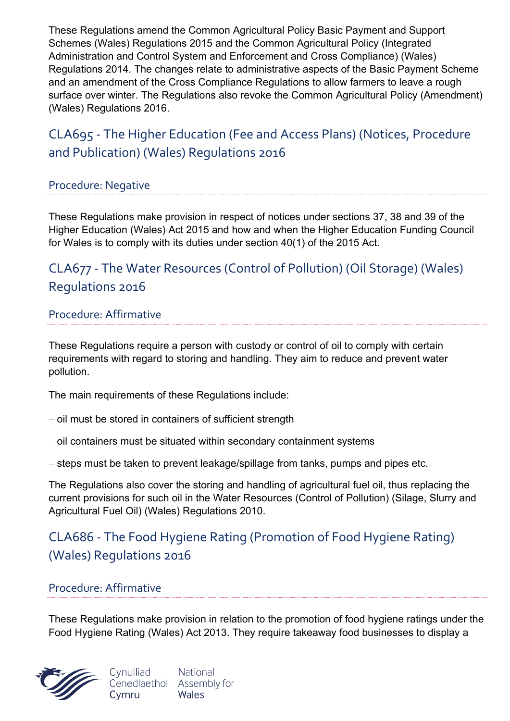These Regulations amend the Common Agricultural Policy Basic Payment and Support Schemes (Wales) Regulations 2015 and the Common Agricultural Policy (Integrated Administration and Control System and Enforcement and Cross Compliance) (Wales) Regulations 2014. The changes relate to administrative aspects of the Basic Payment Scheme and an amendment of the Cross Compliance Regulations to allow farmers to leave a rough surface over winter. The Regulations also revoke the Common Agricultural Policy (Amendment) (Wales) Regulations 2016.

# CLA695 - The Higher Education (Fee and Access Plans) (Notices, Procedure and Publication) (Wales) Regulations 2016

### Procedure: Negative

These Regulations make provision in respect of notices under sections 37, 38 and 39 of the Higher Education (Wales) Act 2015 and how and when the Higher Education Funding Council for Wales is to comply with its duties under section 40(1) of the 2015 Act.

# CLA677 - The Water Resources (Control of Pollution) (Oil Storage) (Wales) Regulations 2016

#### Procedure: Affirmative

These Regulations require a person with custody or control of oil to comply with certain requirements with regard to storing and handling. They aim to reduce and prevent water pollution.

The main requirements of these Regulations include:

- $-$  oil must be stored in containers of sufficient strength
- $-$  oil containers must be situated within secondary containment systems
- steps must be taken to prevent leakage/spillage from tanks, pumps and pipes etc.

The Regulations also cover the storing and handling of agricultural fuel oil, thus replacing the current provisions for such oil in the Water Resources (Control of Pollution) (Silage, Slurry and Agricultural Fuel Oil) (Wales) Regulations 2010.

# CLA686 - The Food Hygiene Rating (Promotion of Food Hygiene Rating) (Wales) Regulations 2016

### Procedure: Affirmative

These Regulations make provision in relation to the promotion of food hygiene ratings under the Food Hygiene Rating (Wales) Act 2013. They require takeaway food businesses to display a

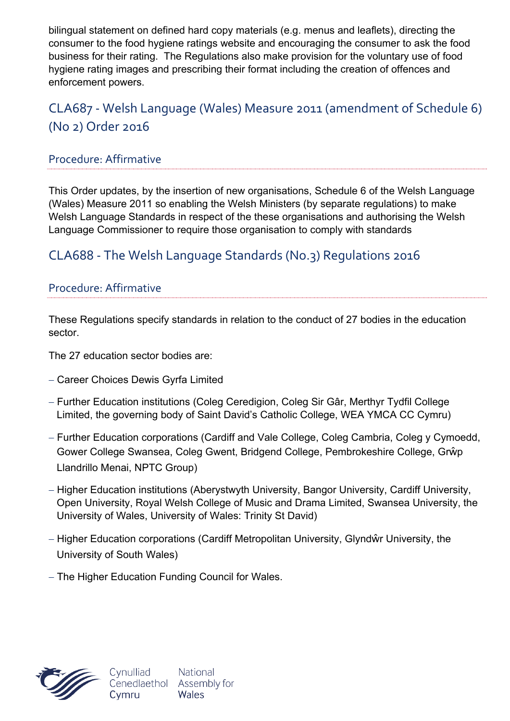bilingual statement on defined hard copy materials (e.g. menus and leaflets), directing the consumer to the food hygiene ratings website and encouraging the consumer to ask the food business for their rating. The Regulations also make provision for the voluntary use of food hygiene rating images and prescribing their format including the creation of offences and enforcement powers.

# CLA687 - Welsh Language (Wales) Measure 2011 (amendment of Schedule 6) (No 2) Order 2016

### Procedure: Affirmative

This Order updates, by the insertion of new organisations, Schedule 6 of the Welsh Language (Wales) Measure 2011 so enabling the Welsh Ministers (by separate regulations) to make Welsh Language Standards in respect of the these organisations and authorising the Welsh Language Commissioner to require those organisation to comply with standards

## CLA688 - The Welsh Language Standards (No.3) Regulations 2016

#### Procedure: Affirmative

These Regulations specify standards in relation to the conduct of 27 bodies in the education sector.

The 27 education sector bodies are:

- Career Choices Dewis Gyrfa Limited
- Further Education institutions (Coleg Ceredigion, Coleg Sir Gâr, Merthyr Tydfil College Limited, the governing body of Saint David's Catholic College, WEA YMCA CC Cymru)
- Further Education corporations (Cardiff and Vale College, Coleg Cambria, Coleg y Cymoedd, Gower College Swansea, Coleg Gwent, Bridgend College, Pembrokeshire College, Grŵp Llandrillo Menai, NPTC Group)
- Higher Education institutions (Aberystwyth University, Bangor University, Cardiff University, Open University, Royal Welsh College of Music and Drama Limited, Swansea University, the University of Wales, University of Wales: Trinity St David)
- Higher Education corporations (Cardiff Metropolitan University, Glyndŵr University, the University of South Wales)
- The Higher Education Funding Council for Wales.

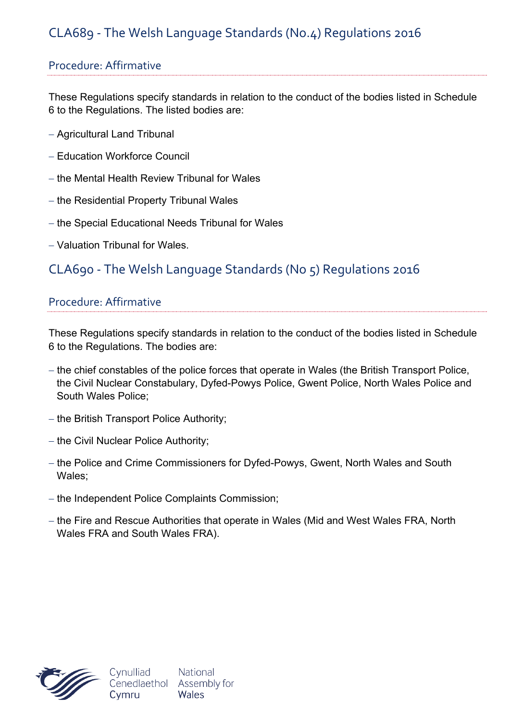# CLA689 - The Welsh Language Standards (No.4) Regulations 2016

### Procedure: Affirmative

These Regulations specify standards in relation to the conduct of the bodies listed in Schedule 6 to the Regulations. The listed bodies are:

- Agricultural Land Tribunal
- Education Workforce Council
- the Mental Health Review Tribunal for Wales
- $-$  the Residential Property Tribunal Wales
- $-$  the Special Educational Needs Tribunal for Wales
- Valuation Tribunal for Wales.

## CLA690 - The Welsh Language Standards (No 5) Regulations 2016

#### Procedure: Affirmative

These Regulations specify standards in relation to the conduct of the bodies listed in Schedule 6 to the Regulations. The bodies are:

- the chief constables of the police forces that operate in Wales (the British Transport Police, the Civil Nuclear Constabulary, Dyfed-Powys Police, Gwent Police, North Wales Police and South Wales Police;
- $-$  the British Transport Police Authority;
- $-$  the Civil Nuclear Police Authority;
- the Police and Crime Commissioners for Dyfed-Powys, Gwent, North Wales and South Wales;
- the Independent Police Complaints Commission;
- the Fire and Rescue Authorities that operate in Wales (Mid and West Wales FRA, North) Wales FRA and South Wales FRA).